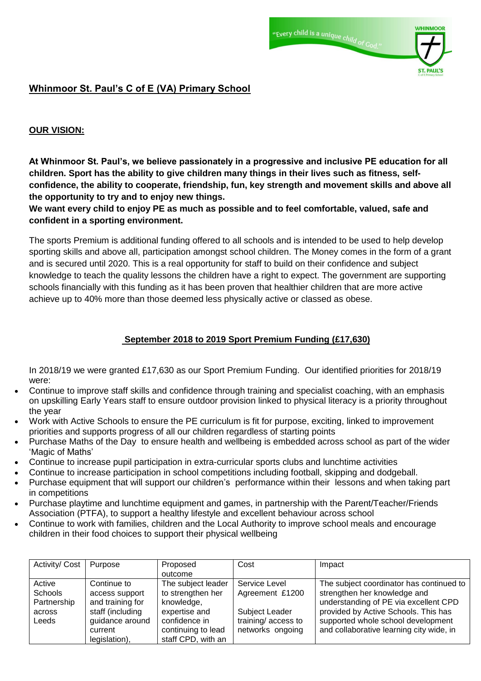



# **Whinmoor St. Paul's C of E (VA) Primary School**

### **OUR VISION:**

**At Whinmoor St. Paul's, we believe passionately in a progressive and inclusive PE education for all children. Sport has the ability to give children many things in their lives such as fitness, selfconfidence, the ability to cooperate, friendship, fun, key strength and movement skills and above all the opportunity to try and to enjoy new things.**

**We want every child to enjoy PE as much as possible and to feel comfortable, valued, safe and confident in a sporting environment.**

The sports Premium is additional funding offered to all schools and is intended to be used to help develop sporting skills and above all, participation amongst school children. The Money comes in the form of a grant and is secured until 2020. This is a real opportunity for staff to build on their confidence and subject knowledge to teach the quality lessons the children have a right to expect. The government are supporting schools financially with this funding as it has been proven that healthier children that are more active achieve up to 40% more than those deemed less physically active or classed as obese.

#### **September 2018 to 2019 Sport Premium Funding (£17,630)**

In 2018/19 we were granted £17,630 as our Sport Premium Funding. Our identified priorities for 2018/19 were:

- Continue to improve staff skills and confidence through training and specialist coaching, with an emphasis on upskilling Early Years staff to ensure outdoor provision linked to physical literacy is a priority throughout the year
- Work with Active Schools to ensure the PE curriculum is fit for purpose, exciting, linked to improvement priorities and supports progress of all our children regardless of starting points
- Purchase Maths of the Day to ensure health and wellbeing is embedded across school as part of the wider 'Magic of Maths'
- Continue to increase pupil participation in extra-curricular sports clubs and lunchtime activities
- Continue to increase participation in school competitions including football, skipping and dodgeball.
- Purchase equipment that will support our children's performance within their lessons and when taking part in competitions
- Purchase playtime and lunchtime equipment and games, in partnership with the Parent/Teacher/Friends Association (PTFA), to support a healthy lifestyle and excellent behaviour across school
- Continue to work with families, children and the Local Authority to improve school meals and encourage children in their food choices to support their physical wellbeing

| Activity/ Cost | Purpose          | Proposed           | Cost               | Impact                                   |
|----------------|------------------|--------------------|--------------------|------------------------------------------|
|                |                  | outcome            |                    |                                          |
| Active         | Continue to      | The subject leader | Service Level      | The subject coordinator has continued to |
| Schools        | access support   | to strengthen her  | Agreement £1200    | strengthen her knowledge and             |
| Partnership    | and training for | knowledge,         |                    | understanding of PE via excellent CPD    |
| across         | staff (including | expertise and      | Subject Leader     | provided by Active Schools. This has     |
| Leeds          | guidance around  | confidence in      | training/access to | supported whole school development       |
|                | current          | continuing to lead | networks ongoing   | and collaborative learning city wide, in |
|                | legislation),    | staff CPD, with an |                    |                                          |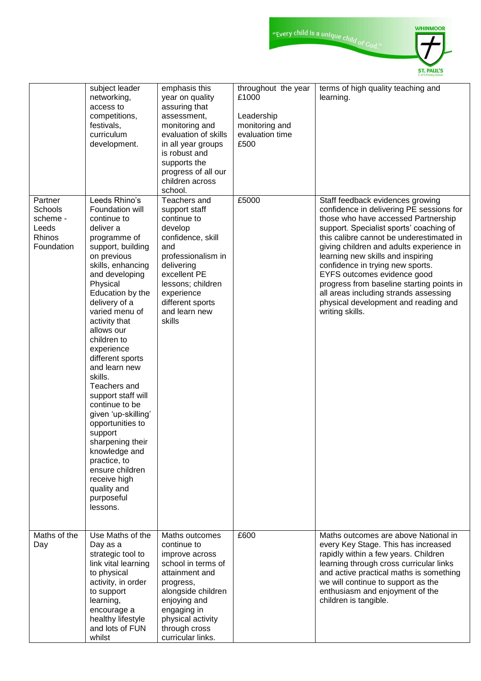|                                                                 | subject leader<br>networking,<br>access to<br>competitions,<br>festivals,<br>curriculum<br>development.                                                                                                                                                                                                                                                                                                                                                                                                                                                                               | emphasis this<br>year on quality<br>assuring that<br>assessment,<br>monitoring and<br>evaluation of skills<br>in all year groups<br>is robust and<br>supports the<br>progress of all our<br>children across<br>school.    | throughout the year<br>£1000<br>Leadership<br>monitoring and<br>evaluation time<br>£500 | terms of high quality teaching and<br>learning.                                                                                                                                                                                                                                                                                                                                                                                                                                                                 |
|-----------------------------------------------------------------|---------------------------------------------------------------------------------------------------------------------------------------------------------------------------------------------------------------------------------------------------------------------------------------------------------------------------------------------------------------------------------------------------------------------------------------------------------------------------------------------------------------------------------------------------------------------------------------|---------------------------------------------------------------------------------------------------------------------------------------------------------------------------------------------------------------------------|-----------------------------------------------------------------------------------------|-----------------------------------------------------------------------------------------------------------------------------------------------------------------------------------------------------------------------------------------------------------------------------------------------------------------------------------------------------------------------------------------------------------------------------------------------------------------------------------------------------------------|
| Partner<br>Schools<br>scheme -<br>Leeds<br>Rhinos<br>Foundation | Leeds Rhino's<br>Foundation will<br>continue to<br>deliver a<br>programme of<br>support, building<br>on previous<br>skills, enhancing<br>and developing<br>Physical<br>Education by the<br>delivery of a<br>varied menu of<br>activity that<br>allows our<br>children to<br>experience<br>different sports<br>and learn new<br>skills.<br>Teachers and<br>support staff will<br>continue to be<br>given 'up-skilling'<br>opportunities to<br>support<br>sharpening their<br>knowledge and<br>practice, to<br>ensure children<br>receive high<br>quality and<br>purposeful<br>lessons. | Teachers and<br>support staff<br>continue to<br>develop<br>confidence, skill<br>and<br>professionalism in<br>delivering<br>excellent PE<br>lessons; children<br>experience<br>different sports<br>and learn new<br>skills | £5000                                                                                   | Staff feedback evidences growing<br>confidence in delivering PE sessions for<br>those who have accessed Partnership<br>support. Specialist sports' coaching of<br>this calibre cannot be underestimated in<br>giving children and adults experience in<br>learning new skills and inspiring<br>confidence in trying new sports.<br>EYFS outcomes evidence good<br>progress from baseline starting points in<br>all areas including strands assessing<br>physical development and reading and<br>writing skills. |
| Maths of the<br>Day                                             | Use Maths of the<br>Day as a<br>strategic tool to<br>link vital learning<br>to physical<br>activity, in order<br>to support<br>learning,<br>encourage a<br>healthy lifestyle<br>and lots of FUN<br>whilst                                                                                                                                                                                                                                                                                                                                                                             | Maths outcomes<br>continue to<br>improve across<br>school in terms of<br>attainment and<br>progress,<br>alongside children<br>enjoying and<br>engaging in<br>physical activity<br>through cross<br>curricular links.      | £600                                                                                    | Maths outcomes are above National in<br>every Key Stage. This has increased<br>rapidly within a few years. Children<br>learning through cross curricular links<br>and active practical maths is something<br>we will continue to support as the<br>enthusiasm and enjoyment of the<br>children is tangible.                                                                                                                                                                                                     |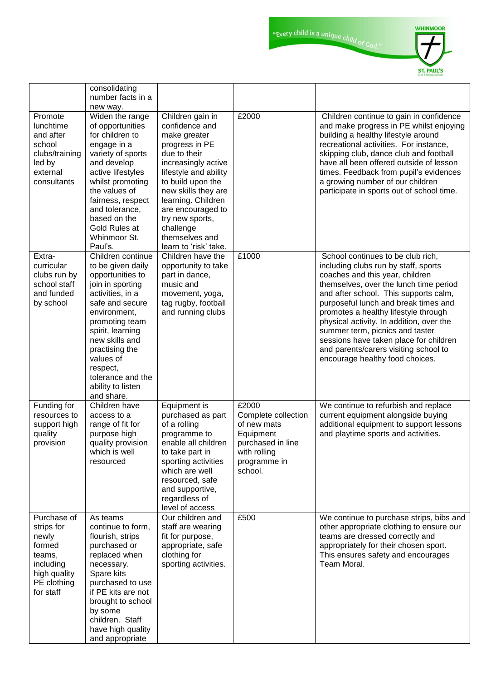"Every child is a unique child of God."



|                                                                                                                 | consolidating<br>number facts in a<br>new way.                                                                                                                                                                                                                                                   |                                                                                                                                                                                                                                                                                                        |                                                                                                                          |                                                                                                                                                                                                                                                                                                                                                                                                                                                                                      |
|-----------------------------------------------------------------------------------------------------------------|--------------------------------------------------------------------------------------------------------------------------------------------------------------------------------------------------------------------------------------------------------------------------------------------------|--------------------------------------------------------------------------------------------------------------------------------------------------------------------------------------------------------------------------------------------------------------------------------------------------------|--------------------------------------------------------------------------------------------------------------------------|--------------------------------------------------------------------------------------------------------------------------------------------------------------------------------------------------------------------------------------------------------------------------------------------------------------------------------------------------------------------------------------------------------------------------------------------------------------------------------------|
| Promote<br>lunchtime<br>and after<br>school<br>clubs/training<br>led by<br>external<br>consultants              | Widen the range<br>of opportunities<br>for children to<br>engage in a<br>variety of sports<br>and develop<br>active lifestyles<br>whilst promoting<br>the values of<br>fairness, respect<br>and tolerance,<br>based on the<br>Gold Rules at<br>Whinmoor St.<br>Paul's.                           | Children gain in<br>confidence and<br>make greater<br>progress in PE<br>due to their<br>increasingly active<br>lifestyle and ability<br>to build upon the<br>new skills they are<br>learning. Children<br>are encouraged to<br>try new sports,<br>challenge<br>themselves and<br>learn to 'risk' take. | £2000                                                                                                                    | Children continue to gain in confidence<br>and make progress in PE whilst enjoying<br>building a healthy lifestyle around<br>recreational activities. For instance,<br>skipping club, dance club and football<br>have all been offered outside of lesson<br>times. Feedback from pupil's evidences<br>a growing number of our children<br>participate in sports out of school time.                                                                                                  |
| Extra-<br>curricular<br>clubs run by<br>school staff<br>and funded<br>by school                                 | Children continue<br>to be given daily<br>opportunities to<br>join in sporting<br>activities, in a<br>safe and secure<br>environment,<br>promoting team<br>spirit, learning<br>new skills and<br>practising the<br>values of<br>respect,<br>tolerance and the<br>ability to listen<br>and share. | Children have the<br>opportunity to take<br>part in dance,<br>music and<br>movement, yoga,<br>tag rugby, football<br>and running clubs                                                                                                                                                                 | £1000                                                                                                                    | School continues to be club rich,<br>including clubs run by staff, sports<br>coaches and this year, children<br>themselves, over the lunch time period<br>and after school. This supports calm,<br>purposeful lunch and break times and<br>promotes a healthy lifestyle through<br>physical activity. In addition, over the<br>summer term, picnics and taster<br>sessions have taken place for children<br>and parents/carers visiting school to<br>encourage healthy food choices. |
| Funding for<br>resources to<br>support high<br>quality<br>provision                                             | Children have<br>access to a<br>range of fit for<br>purpose high<br>quality provision<br>which is well<br>resourced                                                                                                                                                                              | Equipment is<br>purchased as part<br>of a rolling<br>programme to<br>enable all children<br>to take part in<br>sporting activities<br>which are well<br>resourced, safe<br>and supportive,<br>regardless of<br>level of access                                                                         | £2000<br>Complete collection<br>of new mats<br>Equipment<br>purchased in line<br>with rolling<br>programme in<br>school. | We continue to refurbish and replace<br>current equipment alongside buying<br>additional equipment to support lessons<br>and playtime sports and activities.                                                                                                                                                                                                                                                                                                                         |
| Purchase of<br>strips for<br>newly<br>formed<br>teams,<br>including<br>high quality<br>PE clothing<br>for staff | As teams<br>continue to form,<br>flourish, strips<br>purchased or<br>replaced when<br>necessary.<br>Spare kits<br>purchased to use<br>if PE kits are not<br>brought to school<br>by some<br>children. Staff<br>have high quality<br>and appropriate                                              | Our children and<br>staff are wearing<br>fit for purpose,<br>appropriate, safe<br>clothing for<br>sporting activities.                                                                                                                                                                                 | £500                                                                                                                     | We continue to purchase strips, bibs and<br>other appropriate clothing to ensure our<br>teams are dressed correctly and<br>appropriately for their chosen sport.<br>This ensures safety and encourages<br>Team Moral.                                                                                                                                                                                                                                                                |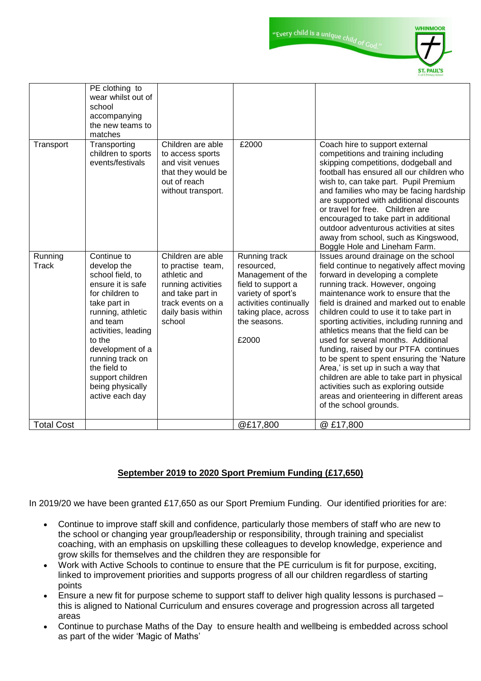"Every child is a unique child of God."



|                   | PE clothing to<br>wear whilst out of<br>school<br>accompanying<br>the new teams to<br>matches                                                                                                                                                                                               |                                                                                                                                                       |                                                                                                                                                                         |                                                                                                                                                                                                                                                                                                                                                                                                                                                                                                                                                                                                                                                                                                                    |
|-------------------|---------------------------------------------------------------------------------------------------------------------------------------------------------------------------------------------------------------------------------------------------------------------------------------------|-------------------------------------------------------------------------------------------------------------------------------------------------------|-------------------------------------------------------------------------------------------------------------------------------------------------------------------------|--------------------------------------------------------------------------------------------------------------------------------------------------------------------------------------------------------------------------------------------------------------------------------------------------------------------------------------------------------------------------------------------------------------------------------------------------------------------------------------------------------------------------------------------------------------------------------------------------------------------------------------------------------------------------------------------------------------------|
| Transport         | Transporting<br>children to sports<br>events/festivals                                                                                                                                                                                                                                      | Children are able<br>to access sports<br>and visit venues<br>that they would be<br>out of reach<br>without transport.                                 | £2000                                                                                                                                                                   | Coach hire to support external<br>competitions and training including<br>skipping competitions, dodgeball and<br>football has ensured all our children who<br>wish to, can take part. Pupil Premium<br>and families who may be facing hardship<br>are supported with additional discounts<br>or travel for free. Children are<br>encouraged to take part in additional<br>outdoor adventurous activities at sites<br>away from school, such as Kingswood,<br>Boggle Hole and Lineham Farm.                                                                                                                                                                                                                         |
| Running<br>Track  | Continue to<br>develop the<br>school field, to<br>ensure it is safe<br>for children to<br>take part in<br>running, athletic<br>and team<br>activities, leading<br>to the<br>development of a<br>running track on<br>the field to<br>support children<br>being physically<br>active each day | Children are able<br>to practise team,<br>athletic and<br>running activities<br>and take part in<br>track events on a<br>daily basis within<br>school | Running track<br>resourced,<br>Management of the<br>field to support a<br>variety of sport's<br>activities continually<br>taking place, across<br>the seasons.<br>£2000 | Issues around drainage on the school<br>field continue to negatively affect moving<br>forward in developing a complete<br>running track. However, ongoing<br>maintenance work to ensure that the<br>field is drained and marked out to enable<br>children could to use it to take part in<br>sporting activities, including running and<br>athletics means that the field can be<br>used for several months. Additional<br>funding, raised by our PTFA continues<br>to be spent to spent ensuring the 'Nature'<br>Area,' is set up in such a way that<br>children are able to take part in physical<br>activities such as exploring outside<br>areas and orienteering in different areas<br>of the school grounds. |
| <b>Total Cost</b> |                                                                                                                                                                                                                                                                                             |                                                                                                                                                       | @£17,800                                                                                                                                                                | @ £17,800                                                                                                                                                                                                                                                                                                                                                                                                                                                                                                                                                                                                                                                                                                          |

## **September 2019 to 2020 Sport Premium Funding (£17,650)**

In 2019/20 we have been granted £17,650 as our Sport Premium Funding. Our identified priorities for are:

- Continue to improve staff skill and confidence, particularly those members of staff who are new to the school or changing year group/leadership or responsibility, through training and specialist coaching, with an emphasis on upskilling these colleagues to develop knowledge, experience and grow skills for themselves and the children they are responsible for
- Work with Active Schools to continue to ensure that the PE curriculum is fit for purpose, exciting, linked to improvement priorities and supports progress of all our children regardless of starting points
- Ensure a new fit for purpose scheme to support staff to deliver high quality lessons is purchased this is aligned to National Curriculum and ensures coverage and progression across all targeted areas
- Continue to purchase Maths of the Day to ensure health and wellbeing is embedded across school as part of the wider 'Magic of Maths'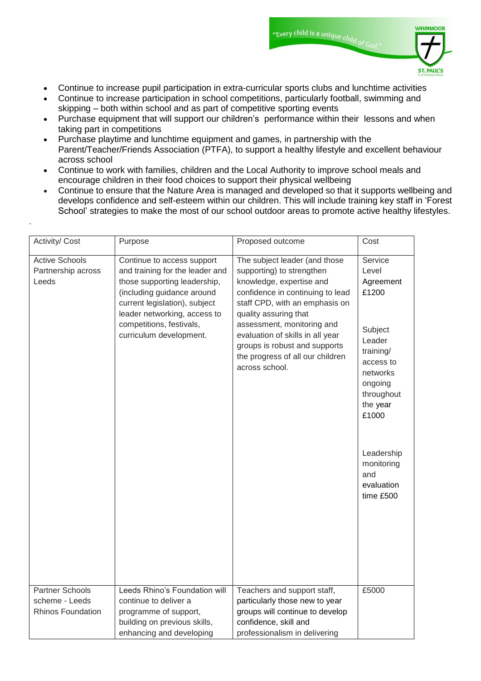- Continue to increase pupil participation in extra-curricular sports clubs and lunchtime activities
- Continue to increase participation in school competitions, particularly football, swimming and skipping – both within school and as part of competitive sporting events
- Purchase equipment that will support our children's performance within their lessons and when taking part in competitions
- Purchase playtime and lunchtime equipment and games, in partnership with the Parent/Teacher/Friends Association (PTFA), to support a healthy lifestyle and excellent behaviour across school
- Continue to work with families, children and the Local Authority to improve school meals and encourage children in their food choices to support their physical wellbeing

.

 Continue to ensure that the Nature Area is managed and developed so that it supports wellbeing and develops confidence and self-esteem within our children. This will include training key staff in 'Forest School' strategies to make the most of our school outdoor areas to promote active healthy lifestyles.

| Activity/ Cost                                                       | Purpose                                                                                                                                                                                                                                             | Proposed outcome                                                                                                                                                                                                                                                                                                                               | Cost                                                                                                                                                                                                          |
|----------------------------------------------------------------------|-----------------------------------------------------------------------------------------------------------------------------------------------------------------------------------------------------------------------------------------------------|------------------------------------------------------------------------------------------------------------------------------------------------------------------------------------------------------------------------------------------------------------------------------------------------------------------------------------------------|---------------------------------------------------------------------------------------------------------------------------------------------------------------------------------------------------------------|
| <b>Active Schools</b><br>Partnership across<br>Leeds                 | Continue to access support<br>and training for the leader and<br>those supporting leadership,<br>(including guidance around<br>current legislation), subject<br>leader networking, access to<br>competitions, festivals,<br>curriculum development. | The subject leader (and those<br>supporting) to strengthen<br>knowledge, expertise and<br>confidence in continuing to lead<br>staff CPD, with an emphasis on<br>quality assuring that<br>assessment, monitoring and<br>evaluation of skills in all year<br>groups is robust and supports<br>the progress of all our children<br>across school. | Service<br>Level<br>Agreement<br>£1200<br>Subject<br>Leader<br>training/<br>access to<br>networks<br>ongoing<br>throughout<br>the year<br>£1000<br>Leadership<br>monitoring<br>and<br>evaluation<br>time £500 |
| <b>Partner Schools</b><br>scheme - Leeds<br><b>Rhinos Foundation</b> | Leeds Rhino's Foundation will<br>continue to deliver a<br>programme of support,<br>building on previous skills,<br>enhancing and developing                                                                                                         | Teachers and support staff,<br>particularly those new to year<br>groups will continue to develop<br>confidence, skill and<br>professionalism in delivering                                                                                                                                                                                     | £5000                                                                                                                                                                                                         |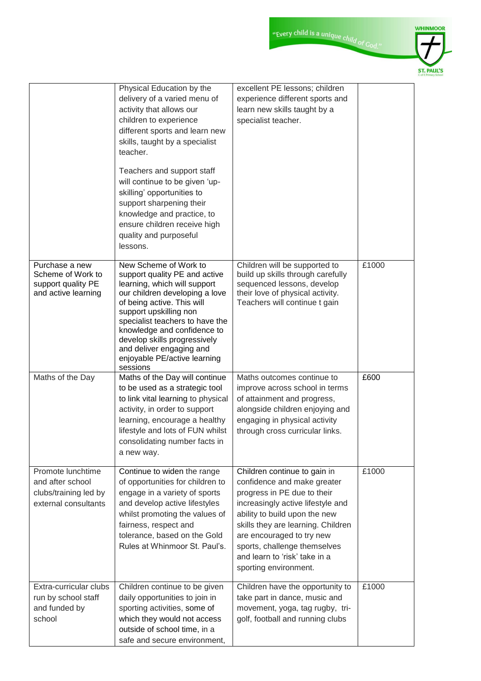|                                                                                        | Physical Education by the<br>delivery of a varied menu of<br>activity that allows our<br>children to experience<br>different sports and learn new<br>skills, taught by a specialist<br>teacher.                                                                                                                                                            | excellent PE lessons; children<br>experience different sports and<br>learn new skills taught by a<br>specialist teacher.                                                                                                                                                                                                      |       |
|----------------------------------------------------------------------------------------|------------------------------------------------------------------------------------------------------------------------------------------------------------------------------------------------------------------------------------------------------------------------------------------------------------------------------------------------------------|-------------------------------------------------------------------------------------------------------------------------------------------------------------------------------------------------------------------------------------------------------------------------------------------------------------------------------|-------|
|                                                                                        | Teachers and support staff<br>will continue to be given 'up-<br>skilling' opportunities to<br>support sharpening their<br>knowledge and practice, to<br>ensure children receive high<br>quality and purposeful<br>lessons.                                                                                                                                 |                                                                                                                                                                                                                                                                                                                               |       |
| Purchase a new<br>Scheme of Work to<br>support quality PE<br>and active learning       | New Scheme of Work to<br>support quality PE and active<br>learning, which will support<br>our children developing a love<br>of being active. This will<br>support upskilling non<br>specialist teachers to have the<br>knowledge and confidence to<br>develop skills progressively<br>and deliver engaging and<br>enjoyable PE/active learning<br>sessions | Children will be supported to<br>build up skills through carefully<br>sequenced lessons, develop<br>their love of physical activity.<br>Teachers will continue t gain                                                                                                                                                         | £1000 |
| Maths of the Day                                                                       | Maths of the Day will continue<br>to be used as a strategic tool<br>to link vital learning to physical<br>activity, in order to support<br>learning, encourage a healthy<br>lifestyle and lots of FUN whilst<br>consolidating number facts in<br>a new way.                                                                                                | Maths outcomes continue to<br>improve across school in terms<br>of attainment and progress,<br>alongside children enjoying and<br>engaging in physical activity<br>through cross curricular links.                                                                                                                            | £600  |
| Promote lunchtime<br>and after school<br>clubs/training led by<br>external consultants | Continue to widen the range<br>of opportunities for children to<br>engage in a variety of sports<br>and develop active lifestyles<br>whilst promoting the values of<br>fairness, respect and<br>tolerance, based on the Gold<br>Rules at Whinmoor St. Paul's.                                                                                              | Children continue to gain in<br>confidence and make greater<br>progress in PE due to their<br>increasingly active lifestyle and<br>ability to build upon the new<br>skills they are learning. Children<br>are encouraged to try new<br>sports, challenge themselves<br>and learn to 'risk' take in a<br>sporting environment. | £1000 |
| Extra-curricular clubs<br>run by school staff<br>and funded by<br>school               | Children continue to be given<br>daily opportunities to join in<br>sporting activities, some of<br>which they would not access<br>outside of school time, in a<br>safe and secure environment,                                                                                                                                                             | Children have the opportunity to<br>take part in dance, music and<br>movement, yoga, tag rugby, tri-<br>golf, football and running clubs                                                                                                                                                                                      | £1000 |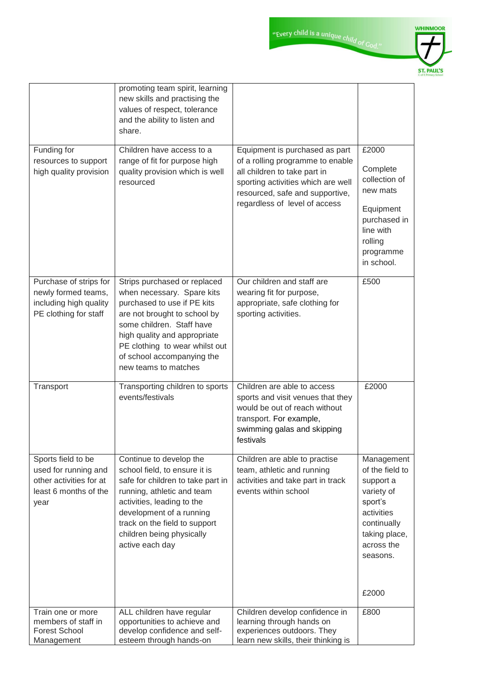|                                                                                                        | promoting team spirit, learning<br>new skills and practising the<br>values of respect, tolerance<br>and the ability to listen and<br>share.                                                                                                                                    |                                                                                                                                                                                                              |                                                                                                                                             |
|--------------------------------------------------------------------------------------------------------|--------------------------------------------------------------------------------------------------------------------------------------------------------------------------------------------------------------------------------------------------------------------------------|--------------------------------------------------------------------------------------------------------------------------------------------------------------------------------------------------------------|---------------------------------------------------------------------------------------------------------------------------------------------|
| Funding for<br>resources to support<br>high quality provision                                          | Children have access to a<br>range of fit for purpose high<br>quality provision which is well<br>resourced                                                                                                                                                                     | Equipment is purchased as part<br>of a rolling programme to enable<br>all children to take part in<br>sporting activities which are well<br>resourced, safe and supportive,<br>regardless of level of access | £2000<br>Complete<br>collection of<br>new mats<br>Equipment<br>purchased in<br>line with<br>rolling<br>programme<br>in school.              |
| Purchase of strips for<br>newly formed teams,<br>including high quality<br>PE clothing for staff       | Strips purchased or replaced<br>when necessary. Spare kits<br>purchased to use if PE kits<br>are not brought to school by<br>some children. Staff have<br>high quality and appropriate<br>PE clothing to wear whilst out<br>of school accompanying the<br>new teams to matches | Our children and staff are<br>wearing fit for purpose,<br>appropriate, safe clothing for<br>sporting activities.                                                                                             | £500                                                                                                                                        |
| Transport                                                                                              | Transporting children to sports<br>events/festivals                                                                                                                                                                                                                            | Children are able to access<br>sports and visit venues that they<br>would be out of reach without<br>transport. For example,<br>swimming galas and skipping<br>festivals                                     | £2000                                                                                                                                       |
| Sports field to be<br>used for running and<br>other activities for at<br>least 6 months of the<br>year | Continue to develop the<br>school field, to ensure it is<br>safe for children to take part in<br>running, athletic and team<br>activities, leading to the<br>development of a running<br>track on the field to support<br>children being physically<br>active each day         | Children are able to practise<br>team, athletic and running<br>activities and take part in track<br>events within school                                                                                     | Management<br>of the field to<br>support a<br>variety of<br>sport's<br>activities<br>continually<br>taking place,<br>across the<br>seasons. |
| Train one or more                                                                                      | ALL children have regular                                                                                                                                                                                                                                                      | Children develop confidence in                                                                                                                                                                               | £2000<br>£800                                                                                                                               |
| members of staff in<br><b>Forest School</b><br>Management                                              | opportunities to achieve and<br>develop confidence and self-<br>esteem through hands-on                                                                                                                                                                                        | learning through hands on<br>experiences outdoors. They<br>learn new skills, their thinking is                                                                                                               |                                                                                                                                             |